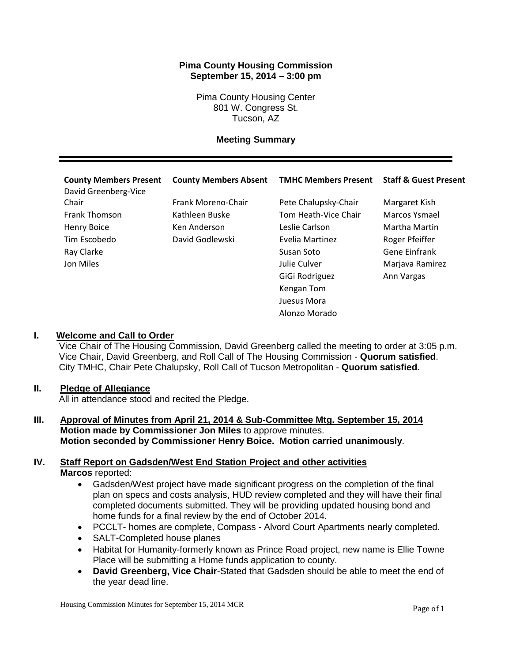## **Pima County Housing Commission September 15, 2014 – 3:00 pm**

Pima County Housing Center 801 W. Congress St. Tucson, AZ

### **Meeting Summary**

| <b>County Members Present</b><br>David Greenberg-Vice | <b>County Members Absent</b> | <b>TMHC Members Present</b> | <b>Staff &amp; Guest Present</b> |
|-------------------------------------------------------|------------------------------|-----------------------------|----------------------------------|
| Chair                                                 | Frank Moreno-Chair           | Pete Chalupsky-Chair        | Margaret Kish                    |
| <b>Frank Thomson</b>                                  | Kathleen Buske               | Tom Heath-Vice Chair        | Marcos Ysmael                    |
| Henry Boice                                           | Ken Anderson                 | Leslie Carlson              | Martha Martin                    |
| Tim Escobedo                                          | David Godlewski              | Evelia Martinez             | Roger Pfeiffer                   |
| Ray Clarke                                            |                              | Susan Soto                  | <b>Gene Einfrank</b>             |
| Jon Miles                                             |                              | Julie Culver                | Marjava Ramirez                  |
|                                                       |                              | GiGi Rodriguez              | Ann Vargas                       |
|                                                       |                              | Kengan Tom                  |                                  |
|                                                       |                              | Juesus Mora                 |                                  |
|                                                       |                              | Alonzo Morado               |                                  |
|                                                       |                              |                             |                                  |

### **I. Welcome and Call to Order**

Vice Chair of The Housing Commission, David Greenberg called the meeting to order at 3:05 p.m. Vice Chair, David Greenberg, and Roll Call of The Housing Commission - **Quorum satisfied**. City TMHC, Chair Pete Chalupsky, Roll Call of Tucson Metropolitan - **Quorum satisfied.**

### **II. Pledge of Allegiance**

All in attendance stood and recited the Pledge.

**III. Approval of Minutes from April 21, 2014 & Sub-Committee Mtg. September 15, 2014 Motion made by Commissioner Jon Miles** to approve minutes. **Motion seconded by Commissioner Henry Boice. Motion carried unanimously**.

### **IV. Staff Report on Gadsden/West End Station Project and other activities Marcos** reported:

- Gadsden/West project have made significant progress on the completion of the final plan on specs and costs analysis, HUD review completed and they will have their final completed documents submitted. They will be providing updated housing bond and home funds for a final review by the end of October 2014.
- PCCLT- homes are complete, Compass Alvord Court Apartments nearly completed.
- SALT-Completed house planes
- Habitat for Humanity-formerly known as Prince Road project, new name is Ellie Towne Place will be submitting a Home funds application to county.
- **David Greenberg, Vice Chair**-Stated that Gadsden should be able to meet the end of the year dead line.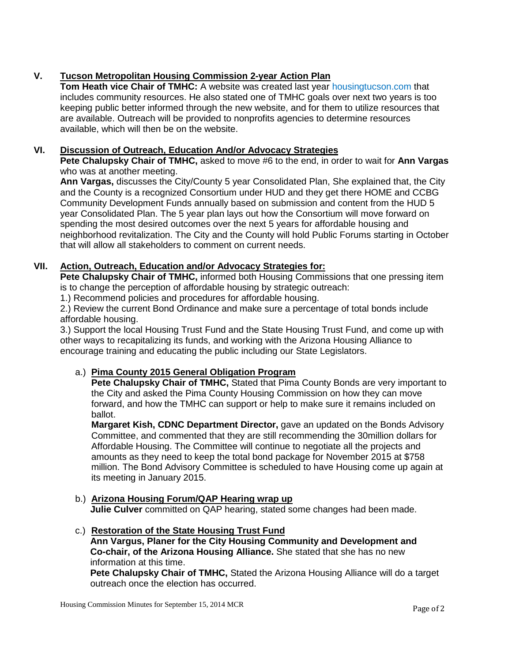# **V. Tucson Metropolitan Housing Commission 2-year Action Plan**

**Tom Heath vice Chair of TMHC:** A website was created last year housingtucson.com that includes community resources. He also stated one of TMHC goals over next two years is too keeping public better informed through the new website, and for them to utilize resources that are available. Outreach will be provided to nonprofits agencies to determine resources available, which will then be on the website.

# **VI. Discussion of Outreach, Education And/or Advocacy Strategies**

**Pete Chalupsky Chair of TMHC,** asked to move #6 to the end, in order to wait for **Ann Vargas** who was at another meeting.

**Ann Vargas,** discusses the City/County 5 year Consolidated Plan, She explained that, the City and the County is a recognized Consortium under HUD and they get there HOME and CCBG Community Development Funds annually based on submission and content from the HUD 5 year Consolidated Plan. The 5 year plan lays out how the Consortium will move forward on spending the most desired outcomes over the next 5 years for affordable housing and neighborhood revitalization. The City and the County will hold Public Forums starting in October that will allow all stakeholders to comment on current needs.

# **VII. Action, Outreach, Education and/or Advocacy Strategies for:**

**Pete Chalupsky Chair of TMHC,** informed both Housing Commissions that one pressing item is to change the perception of affordable housing by strategic outreach:

1.) Recommend policies and procedures for affordable housing.

2.) Review the current Bond Ordinance and make sure a percentage of total bonds include affordable housing.

3.) Support the local Housing Trust Fund and the State Housing Trust Fund, and come up with other ways to recapitalizing its funds, and working with the Arizona Housing Alliance to encourage training and educating the public including our State Legislators.

# a.) **Pima County 2015 General Obligation Program**

**Pete Chalupsky Chair of TMHC, Stated that Pima County Bonds are very important to** the City and asked the Pima County Housing Commission on how they can move forward, and how the TMHC can support or help to make sure it remains included on ballot.

**Margaret Kish, CDNC Department Director,** gave an updated on the Bonds Advisory Committee, and commented that they are still recommending the 30million dollars for Affordable Housing. The Committee will continue to negotiate all the projects and amounts as they need to keep the total bond package for November 2015 at \$758 million. The Bond Advisory Committee is scheduled to have Housing come up again at its meeting in January 2015.

- b.) **Arizona Housing Forum/QAP Hearing wrap up Julie Culver** committed on QAP hearing, stated some changes had been made.
- c.) **Restoration of the State Housing Trust Fund Ann Vargus, Planer for the City Housing Community and Development and Co-chair, of the Arizona Housing Alliance.** She stated that she has no new information at this time.

**Pete Chalupsky Chair of TMHC,** Stated the Arizona Housing Alliance will do a target outreach once the election has occurred.